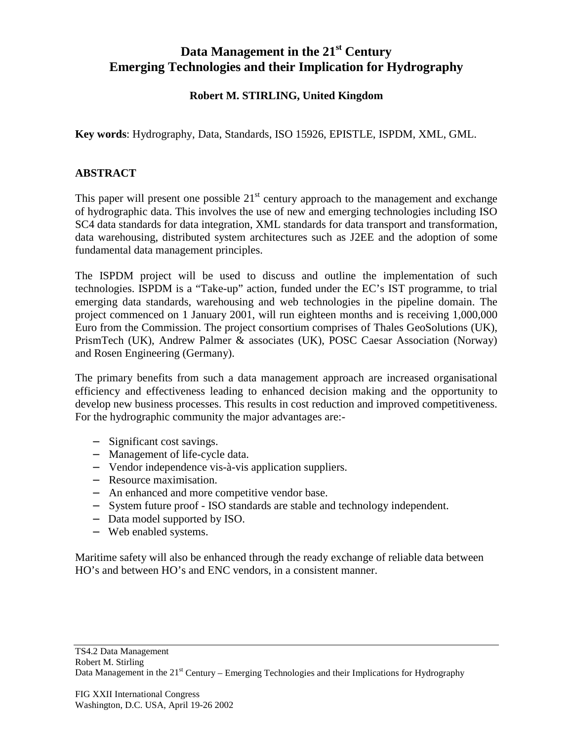## **Data Management in the 21st Century Emerging Technologies and their Implication for Hydrography**

## **Robert M. STIRLING, United Kingdom**

**Key words**: Hydrography, Data, Standards, ISO 15926, EPISTLE, ISPDM, XML, GML.

## **ABSTRACT**

This paper will present one possible  $21<sup>st</sup>$  century approach to the management and exchange of hydrographic data. This involves the use of new and emerging technologies including ISO SC4 data standards for data integration, XML standards for data transport and transformation, data warehousing, distributed system architectures such as J2EE and the adoption of some fundamental data management principles.

The ISPDM project will be used to discuss and outline the implementation of such technologies. ISPDM is a "Take-up" action, funded under the EC's IST programme, to trial emerging data standards, warehousing and web technologies in the pipeline domain. The project commenced on 1 January 2001, will run eighteen months and is receiving 1,000,000 Euro from the Commission. The project consortium comprises of Thales GeoSolutions (UK), PrismTech (UK), Andrew Palmer & associates (UK), POSC Caesar Association (Norway) and Rosen Engineering (Germany).

The primary benefits from such a data management approach are increased organisational efficiency and effectiveness leading to enhanced decision making and the opportunity to develop new business processes. This results in cost reduction and improved competitiveness. For the hydrographic community the major advantages are:-

- − Significant cost savings.
- − Management of life-cycle data.
- − Vendor independence vis-à-vis application suppliers.
- − Resource maximisation.
- − An enhanced and more competitive vendor base.
- − System future proof ISO standards are stable and technology independent.
- − Data model supported by ISO.
- − Web enabled systems.

Maritime safety will also be enhanced through the ready exchange of reliable data between HO's and between HO's and ENC vendors, in a consistent manner.